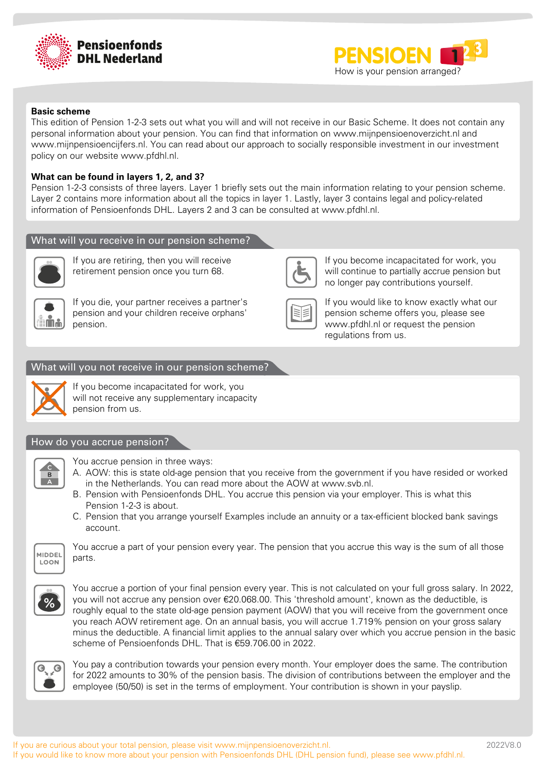



#### **Basic scheme**

This edition of Pension 1-2-3 sets out what you will and will not receive in our Basic Scheme. It does not contain any personal information about your pension. You can find that information on www.mijnpensioenoverzicht.nl and www.mijnpensioencijfers.nl. You can read about our approach to socially responsible investment in our investment policy on our website www.pfdhl.nl.

## **What can be found in layers 1, 2, and 3?**

Pension 1-2-3 consists of three layers. Layer 1 briefly sets out the main information relating to your pension scheme. Layer 2 contains more information about all the topics in layer 1. Lastly, layer 3 contains legal and policy-related information of Pensioenfonds DHL. Layers 2 and 3 can be consulted at www.pfdhl.nl.

## What will you receive in our pension scheme?



If you are retiring, then you will receive retirement pension once you turn 68.



If you die, your partner receives a partner's pension and your children receive orphans' pension.



If you become incapacitated for work, you will continue to partially accrue pension but no longer pay contributions yourself.



If you would like to know exactly what our pension scheme offers you, please see www.pfdhl.nl or request the pension regulations from us.

## What will you not receive in our pension scheme?



If you become incapacitated for work, you will not receive any supplementary incapacity pension from us.

#### How do you accrue pension?



You accrue pension in three ways:

- A. AOW: this is state old-age pension that you receive from the government if you have resided or worked in the Netherlands. You can read more about the AOW at www.svb.nl.
- B. Pension with Pensioenfonds DHL. You accrue this pension via your employer. This is what this Pension 1-2-3 is about.
- C. Pension that you arrange yourself Examples include an annuity or a tax-efficient blocked bank savings account.



You accrue a part of your pension every year. The pension that you accrue this way is the sum of all those parts.



You accrue a portion of your final pension every year. This is not calculated on your full gross salary. In 2022, you will not accrue any pension over €20.068.00. This 'threshold amount', known as the deductible, is roughly equal to the state old-age pension payment (AOW) that you will receive from the government once you reach AOW retirement age. On an annual basis, you will accrue 1.719% pension on your gross salary minus the deductible. A financial limit applies to the annual salary over which you accrue pension in the basic scheme of Pensioenfonds DHL. That is €59.706.00 in 2022.



You pay a contribution towards your pension every month. Your employer does the same. The contribution for 2022 amounts to 30% of the pension basis. The division of contributions between the employer and the employee (50/50) is set in the terms of employment. Your contribution is shown in your payslip.